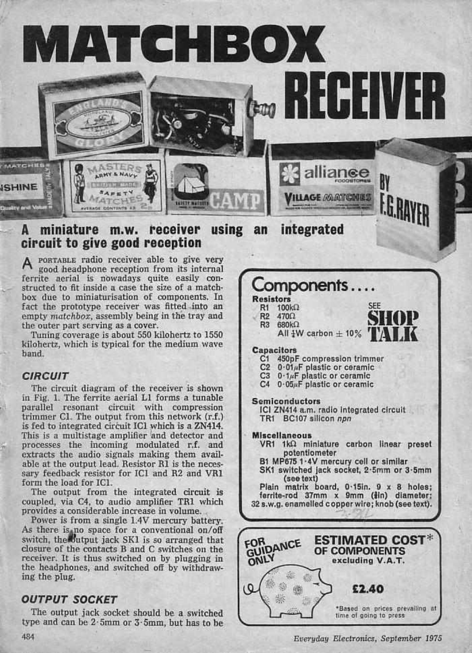

#### A miniature m.w. receiver using an circuit to give good reception integrated

A PORTABLE radio receiver able to give very<br>good headphone reception from its internal ferrite aerial is nowadays quite easily con-<br>structed to fit inside a case the size of a matchbox due to miniaturisation of components. In Resistors fact the prototype receiver was fitted into an **R1** R1 R1 R1 R1 R1 R1 R1 R1 R1 R2 empty matchbox, assembly being in the tray and the outer part serving as a cover.<br>Tuning coverage is about 550 kilohertz to 1550

kilohertz, which is typical for the medium wave band.

## **CIRCUIT**

The circuit diagram of the receiver is shown in Fig. I. The ferrite aerial LI forms a tunable parallel resonant circuit with compression trimmer Cl. The output from this network (r.f.) is fed to integrated circuit ICl which is a ZN414. This is a multistage amplifier and detector and processes the incoming modulated r.f. and able at the output lead. Resistor R1 is the necessary feedback resistor for IC1 and R2 and VR1 form the load for IC1.

The output from the integrated circuit is coupled, via C4, to audio amplifier TR1 which

Power is from a single 1.4V mercury battery.<br>As there is no space for a conventional on/off switch, the butput jack SK1 is so arranged that closure of the contacts B and C switches on the receiver. It is thus switched on by plugging in the headphones, and switched off by withdrawing the plug.

# OUTPUT SOCKET

The output jack socket should be a switched type and can be 2-5mm or 3.5mm, but has to he

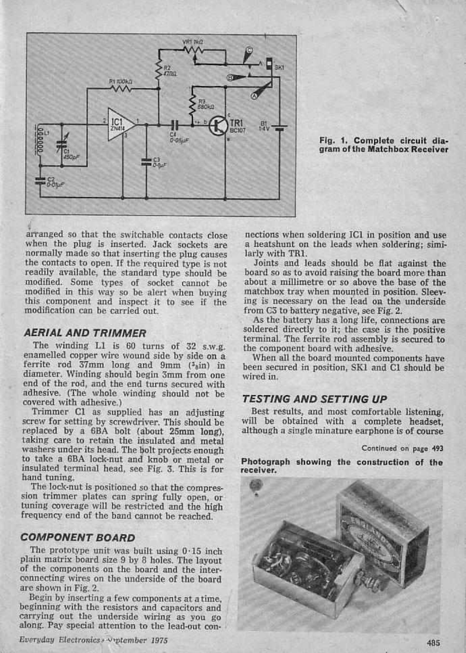

Fig. 1. Complete circuit dia- gram of the Matchbox Receiver

arranged so that the switchable contacts close nections when soldering IC1 in position and use<br>when the plug is inserted. Jack sockets are a heatshunt on the leads when soldering; simi-<br>normally made so that inserting the normally made so that inserting the plug causes larly with TR1.<br>the contacts to open. If the required type is not Joints and leads should be flat against the readily available, the standard type should be modified. Some types of socket cannot be modified in this way so be alert when buying this component and inspect it to see if the ing is necessary on the lead on the modification can be carried out. from C3 to battery negative, see Fig. 2. modification can be carried out.

## AERIAL AND TRIMMER

The winding L1 is 60 turns of 32 s.w.g. the component board with adhesive.<br>enamelled copper wire wound side by side on a When all the board mounted components have ferrite rod 37mm long and 9mm  $(3)$ in) in diameter. Winding should begin 3mm from one wired in.<br>end of the rod, and the end turns secured with adhesive. (The whole winding should not be

screw for setting by screwdriver. This should be will be obtained with a complete headset, replaced by a 6BA bolt (about 25mm long), although a single minature earphone is of course replaced by a 6BA bolt (about 25mm long), taking care to retain the insulated and metal washers under its head. The bolt projects enough to take a 6BA lock -nut and knob or metal or insulated terminal head, see Fig. 3. This is for hand tuning.

sion trimmer plates can spring fully open, or tuning coverage will be restricted and the high frequency end of the band cannot be reached.

#### COMPONENT BOARD

The prototype unit was built using  $0.15$  inch plain matrix board size 9 by 8 holes. The layout of the components on the board and the inter-<br>connecting wires on the underside of the board

are shown in Fig. 2.<br>Begin by inserting a few components at a time, beginning with the resistors and capacitors and carrying out the underside wiring as you go along. Pay special attention to the lead-out con-

Everyday Electronics... Urptember 1975

a heatshunt on the leads when soldering; simi-

board so as to avoid raising the board more than about a millimetre or so above the base of the matchbox tray when mounted in position. Sleeving is necessary on the lead OR the underside

As the battery has a long life, connections are soldered directly to it; the case is the positive terminal. The ferrite rod assembly is secured to the component board with adhesive.

been secured in position, SKI and Cl should be

### TESTING AND SETTING UP

Trimmer Cl as supplied has an adjusting Best results, and most comfortable listening, will be obtained with a complete headset,

#### Continued on page 493

Photograph showing the construction of the receiver.

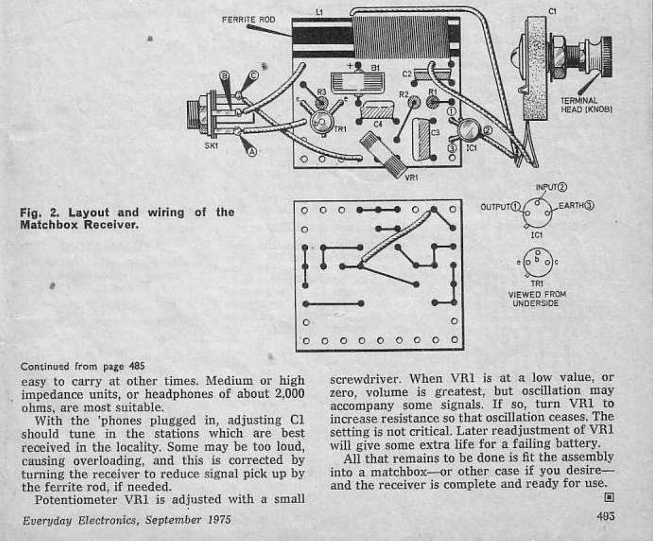

# Continued from page 485

Matchbox Receiver.

easy to carry at other times. Medium or high impedance units, or headphones of about 2.000

With the 'phones plugged in, adjusting Cl increase resistance so that oscillation ceases. If<br>should tune in the stations which are best setting is not critical. Later readjustment of VI<br>received in the locality. Some may b received in the locality. Some may be too loud, causing overloading, and this is corrected by turning the receiver to reduce signal pick up by into a matchbox—or other case if you desire—<br>and the receiver is complete and ready for use.

Potentiometer VR1 is adjusted with a small

screwdriver. When VR1 is at a low value, or zero, volume is greatest, but oscillation may accompany some signals. If so, turn VR1 to increase resistance so that oscillation ceases. The setting is not critical. Later readjustment of VR1

All that remains to be done is fit the assembly. into a matchbox—or other case if you desire—<br>and the receiver is complete and ready for use.

Everyday Electronics, September 1975